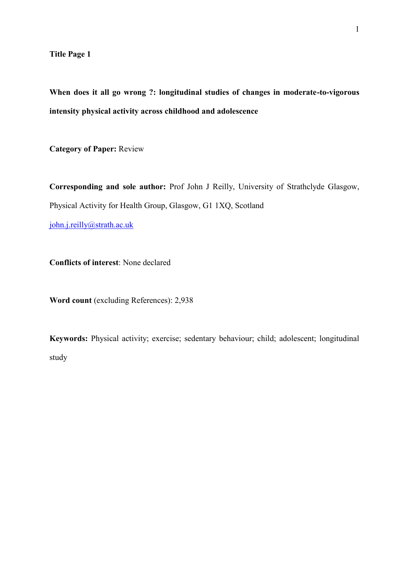**Title Page 1**

**When does it all go wrong ?: longitudinal studies of changes in moderate-to-vigorous intensity physical activity across childhood and adolescence**

**Category of Paper:** Review

**Corresponding and sole author:** Prof John J Reilly, University of Strathclyde Glasgow, Physical Activity for Health Group, Glasgow, G1 1XQ, Scotland

[john.j.reilly@strath.ac.uk](mailto:john.j.reilly@strath.ac.uk)

**Conflicts of interest**: None declared

**Word count** (excluding References): 2,938

**Keywords:** Physical activity; exercise; sedentary behaviour; child; adolescent; longitudinal study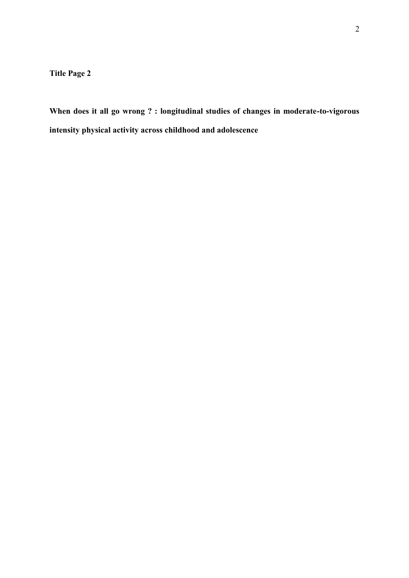**Title Page 2**

**When does it all go wrong ? : longitudinal studies of changes in moderate-to-vigorous intensity physical activity across childhood and adolescence**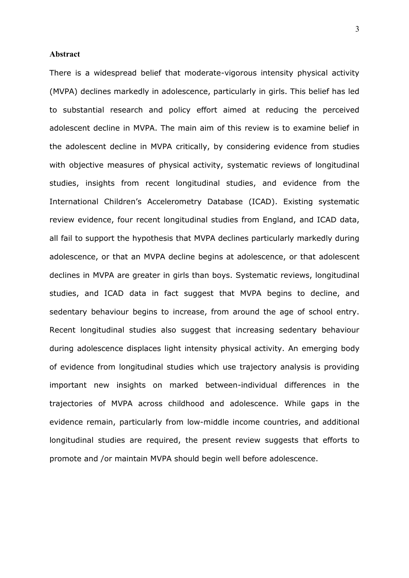#### **Abstract**

There is a widespread belief that moderate-vigorous intensity physical activity (MVPA) declines markedly in adolescence, particularly in girls. This belief has led to substantial research and policy effort aimed at reducing the perceived adolescent decline in MVPA. The main aim of this review is to examine belief in the adolescent decline in MVPA critically, by considering evidence from studies with objective measures of physical activity, systematic reviews of longitudinal studies, insights from recent longitudinal studies, and evidence from the International Children's Accelerometry Database (ICAD). Existing systematic review evidence, four recent longitudinal studies from England, and ICAD data, all fail to support the hypothesis that MVPA declines particularly markedly during adolescence, or that an MVPA decline begins at adolescence, or that adolescent declines in MVPA are greater in girls than boys. Systematic reviews, longitudinal studies, and ICAD data in fact suggest that MVPA begins to decline, and sedentary behaviour begins to increase, from around the age of school entry. Recent longitudinal studies also suggest that increasing sedentary behaviour during adolescence displaces light intensity physical activity. An emerging body of evidence from longitudinal studies which use trajectory analysis is providing important new insights on marked between-individual differences in the trajectories of MVPA across childhood and adolescence. While gaps in the evidence remain, particularly from low-middle income countries, and additional longitudinal studies are required, the present review suggests that efforts to promote and /or maintain MVPA should begin well before adolescence.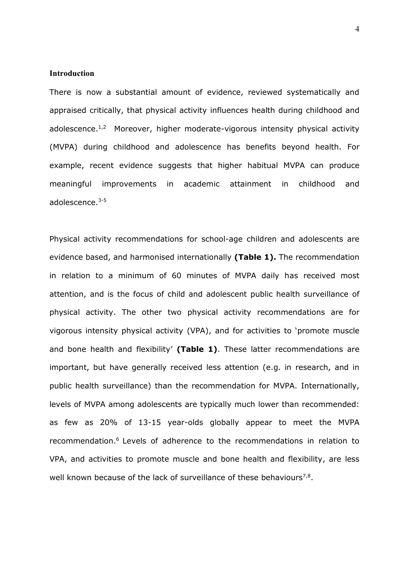#### **Introduction**

There is now a substantial amount of evidence, reviewed systematically and appraised critically, that physical activity influences health during childhood and adolescence.<sup>1,2</sup> Moreover, higher moderate-vigorous intensity physical activity (MVPA) during childhood and adolescence has benefits beyond health. For example, recent evidence suggests that higher habitual MVPA can produce meaningful improvements in academic attainment in childhood and adolescence. 3-5

Physical activity recommendations for school-age children and adolescents are evidence based, and harmonised internationally **(Table 1).** The recommendation in relation to a minimum of 60 minutes of MVPA daily has received most attention, and is the focus of child and adolescent public health surveillance of physical activity. The other two physical activity recommendations are for vigorous intensity physical activity (VPA), and for activities to 'promote muscle and bone health and flexibility' **(Table 1)**. These latter recommendations are important, but have generally received less attention (e.g. in research, and in public health surveillance) than the recommendation for MVPA. Internationally, levels of MVPA among adolescents are typically much lower than recommended: as few as 20% of 13-15 year-olds globally appear to meet the MVPA recommendation. <sup>6</sup> Levels of adherence to the recommendations in relation to VPA, and activities to promote muscle and bone health and flexibility, are less well known because of the lack of surveillance of these behaviours<sup>7,8</sup>.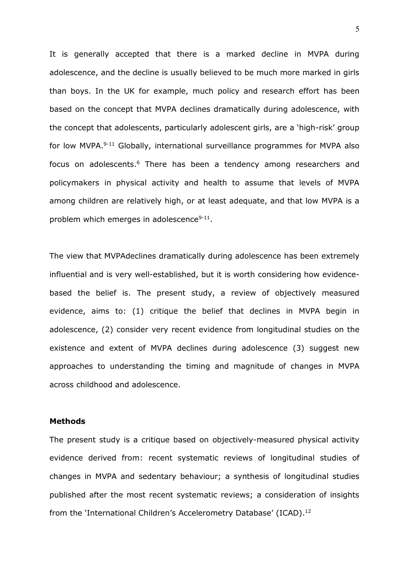It is generally accepted that there is a marked decline in MVPA during adolescence, and the decline is usually believed to be much more marked in girls than boys. In the UK for example, much policy and research effort has been based on the concept that MVPA declines dramatically during adolescence, with the concept that adolescents, particularly adolescent girls, are a 'high-risk' group for low MVPA.<sup>9-11</sup> Globally, international surveillance programmes for MVPA also focus on adolescents. <sup>6</sup> There has been a tendency among researchers and policymakers in physical activity and health to assume that levels of MVPA among children are relatively high, or at least adequate, and that low MVPA is a problem which emerges in adolescence $9-11$ .

The view that MVPAdeclines dramatically during adolescence has been extremely influential and is very well-established, but it is worth considering how evidencebased the belief is. The present study, a review of objectively measured evidence, aims to: (1) critique the belief that declines in MVPA begin in adolescence, (2) consider very recent evidence from longitudinal studies on the existence and extent of MVPA declines during adolescence (3) suggest new approaches to understanding the timing and magnitude of changes in MVPA across childhood and adolescence.

#### **Methods**

The present study is a critique based on objectively-measured physical activity evidence derived from: recent systematic reviews of longitudinal studies of changes in MVPA and sedentary behaviour; a synthesis of longitudinal studies published after the most recent systematic reviews; a consideration of insights from the 'International Children's Accelerometry Database' (ICAD).<sup>12</sup>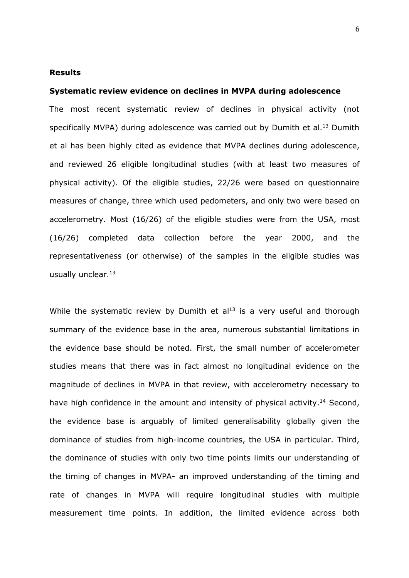## **Results**

#### **Systematic review evidence on declines in MVPA during adolescence**

The most recent systematic review of declines in physical activity (not specifically MVPA) during adolescence was carried out by Dumith et al.<sup>13</sup> Dumith et al has been highly cited as evidence that MVPA declines during adolescence, and reviewed 26 eligible longitudinal studies (with at least two measures of physical activity). Of the eligible studies, 22/26 were based on questionnaire measures of change, three which used pedometers, and only two were based on accelerometry. Most (16/26) of the eligible studies were from the USA, most (16/26) completed data collection before the year 2000, and the representativeness (or otherwise) of the samples in the eligible studies was usually unclear. 13

While the systematic review by Dumith et  $al<sup>13</sup>$  is a very useful and thorough summary of the evidence base in the area, numerous substantial limitations in the evidence base should be noted. First, the small number of accelerometer studies means that there was in fact almost no longitudinal evidence on the magnitude of declines in MVPA in that review, with accelerometry necessary to have high confidence in the amount and intensity of physical activity.<sup>14</sup> Second, the evidence base is arguably of limited generalisability globally given the dominance of studies from high-income countries, the USA in particular. Third, the dominance of studies with only two time points limits our understanding of the timing of changes in MVPA- an improved understanding of the timing and rate of changes in MVPA will require longitudinal studies with multiple measurement time points. In addition, the limited evidence across both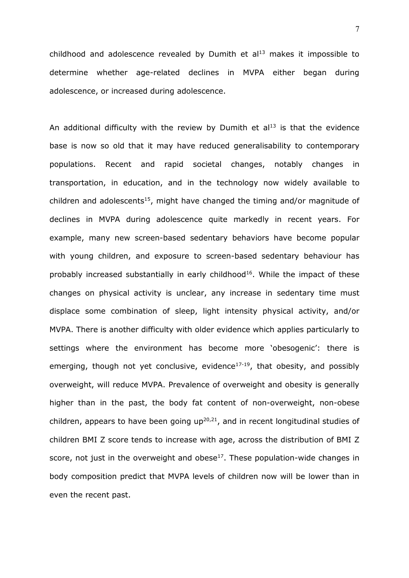childhood and adolescence revealed by Dumith et  $al<sup>13</sup>$  makes it impossible to determine whether age-related declines in MVPA either began during adolescence, or increased during adolescence.

An additional difficulty with the review by Dumith et  $al<sup>13</sup>$  is that the evidence base is now so old that it may have reduced generalisability to contemporary populations. Recent and rapid societal changes, notably changes in transportation, in education, and in the technology now widely available to children and adolescents<sup>15</sup>, might have changed the timing and/or magnitude of declines in MVPA during adolescence quite markedly in recent years. For example, many new screen-based sedentary behaviors have become popular with young children, and exposure to screen-based sedentary behaviour has probably increased substantially in early childhood<sup>16</sup>. While the impact of these changes on physical activity is unclear, any increase in sedentary time must displace some combination of sleep, light intensity physical activity, and/or MVPA. There is another difficulty with older evidence which applies particularly to settings where the environment has become more 'obesogenic': there is emerging, though not yet conclusive, evidence<sup>17-19</sup>, that obesity, and possibly overweight, will reduce MVPA. Prevalence of overweight and obesity is generally higher than in the past, the body fat content of non-overweight, non-obese children, appears to have been going  $up^{20,21}$ , and in recent longitudinal studies of children BMI Z score tends to increase with age, across the distribution of BMI Z score, not just in the overweight and obese $17$ . These population-wide changes in body composition predict that MVPA levels of children now will be lower than in even the recent past.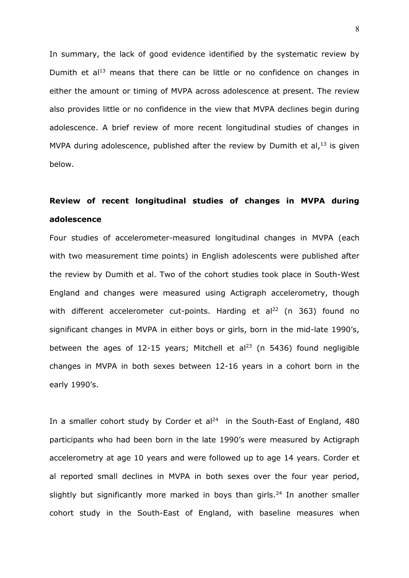In summary, the lack of good evidence identified by the systematic review by Dumith et  $a^{13}$  means that there can be little or no confidence on changes in either the amount or timing of MVPA across adolescence at present. The review also provides little or no confidence in the view that MVPA declines begin during adolescence. A brief review of more recent longitudinal studies of changes in MVPA during adolescence, published after the review by Dumith et al, $^{13}$  is given below.

# **Review of recent longitudinal studies of changes in MVPA during adolescence**

Four studies of accelerometer-measured longitudinal changes in MVPA (each with two measurement time points) in English adolescents were published after the review by Dumith et al. Two of the cohort studies took place in South-West England and changes were measured using Actigraph accelerometry, though with different accelerometer cut-points. Harding et al<sup>22</sup> (n 363) found no significant changes in MVPA in either boys or girls, born in the mid-late 1990's, between the ages of 12-15 years; Mitchell et al<sup>23</sup> (n 5436) found negligible changes in MVPA in both sexes between 12-16 years in a cohort born in the early 1990's.

In a smaller cohort study by Corder et  $al<sup>24</sup>$  in the South-East of England, 480 participants who had been born in the late 1990's were measured by Actigraph accelerometry at age 10 years and were followed up to age 14 years. Corder et al reported small declines in MVPA in both sexes over the four year period, slightly but significantly more marked in boys than girls.<sup>24</sup> In another smaller cohort study in the South-East of England, with baseline measures when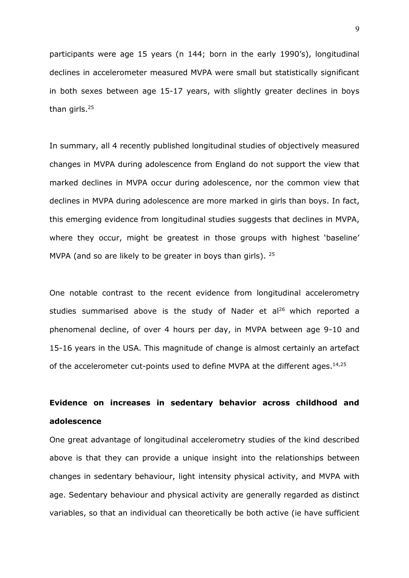participants were age 15 years (n 144; born in the early 1990's), longitudinal declines in accelerometer measured MVPA were small but statistically significant in both sexes between age 15-17 years, with slightly greater declines in boys than girls.<sup>25</sup>

In summary, all 4 recently published longitudinal studies of objectively measured changes in MVPA during adolescence from England do not support the view that marked declines in MVPA occur during adolescence, nor the common view that declines in MVPA during adolescence are more marked in girls than boys. In fact, this emerging evidence from longitudinal studies suggests that declines in MVPA, where they occur, might be greatest in those groups with highest 'baseline' MVPA (and so are likely to be greater in boys than girls).  $25$ 

One notable contrast to the recent evidence from longitudinal accelerometry studies summarised above is the study of Nader et  $al^{26}$  which reported a phenomenal decline, of over 4 hours per day, in MVPA between age 9-10 and 15-16 years in the USA. This magnitude of change is almost certainly an artefact of the accelerometer cut-points used to define MVPA at the different ages.<sup>14,25</sup>

# **Evidence on increases in sedentary behavior across childhood and adolescence**

One great advantage of longitudinal accelerometry studies of the kind described above is that they can provide a unique insight into the relationships between changes in sedentary behaviour, light intensity physical activity, and MVPA with age. Sedentary behaviour and physical activity are generally regarded as distinct variables, so that an individual can theoretically be both active (ie have sufficient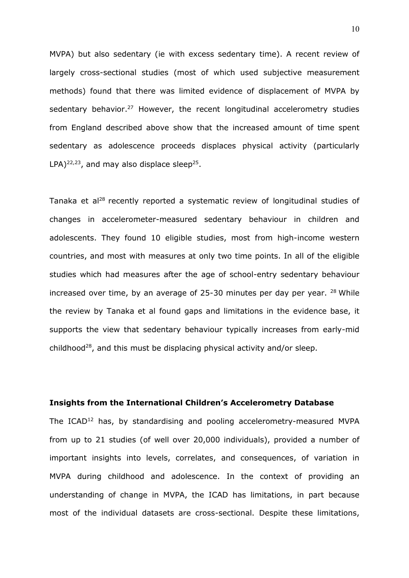MVPA) but also sedentary (ie with excess sedentary time). A recent review of largely cross-sectional studies (most of which used subjective measurement methods) found that there was limited evidence of displacement of MVPA by sedentary behavior.<sup>27</sup> However, the recent longitudinal accelerometry studies from England described above show that the increased amount of time spent sedentary as adolescence proceeds displaces physical activity (particularly  $LPA$ )<sup>22,23</sup>, and may also displace sleep<sup>25</sup>.

Tanaka et al<sup>28</sup> recently reported a systematic review of longitudinal studies of changes in accelerometer-measured sedentary behaviour in children and adolescents. They found 10 eligible studies, most from high-income western countries, and most with measures at only two time points. In all of the eligible studies which had measures after the age of school-entry sedentary behaviour increased over time, by an average of 25-30 minutes per day per year.  $28$  While the review by Tanaka et al found gaps and limitations in the evidence base, it supports the view that sedentary behaviour typically increases from early-mid childhood<sup>28</sup>, and this must be displacing physical activity and/or sleep.

## **Insights from the International Children's Accelerometry Database**

The ICAD<sup>12</sup> has, by standardising and pooling accelerometry-measured MVPA from up to 21 studies (of well over 20,000 individuals), provided a number of important insights into levels, correlates, and consequences, of variation in MVPA during childhood and adolescence. In the context of providing an understanding of change in MVPA, the ICAD has limitations, in part because most of the individual datasets are cross-sectional. Despite these limitations,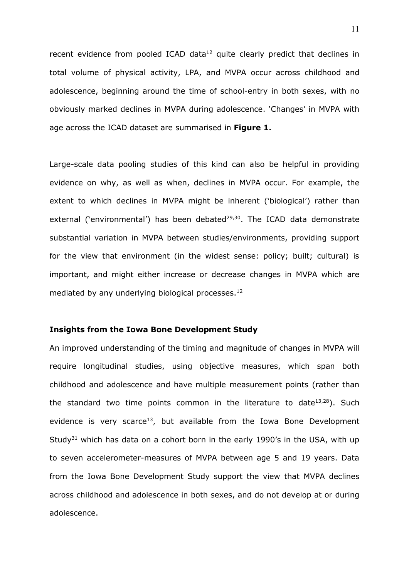recent evidence from pooled ICAD data<sup>12</sup> quite clearly predict that declines in total volume of physical activity, LPA, and MVPA occur across childhood and adolescence, beginning around the time of school-entry in both sexes, with no obviously marked declines in MVPA during adolescence. 'Changes' in MVPA with age across the ICAD dataset are summarised in **Figure 1.**

Large-scale data pooling studies of this kind can also be helpful in providing evidence on why, as well as when, declines in MVPA occur. For example, the extent to which declines in MVPA might be inherent ('biological') rather than external ('environmental') has been debated<sup>29,30</sup>. The ICAD data demonstrate substantial variation in MVPA between studies/environments, providing support for the view that environment (in the widest sense: policy; built; cultural) is important, and might either increase or decrease changes in MVPA which are mediated by any underlying biological processes.<sup>12</sup>

## **Insights from the Iowa Bone Development Study**

An improved understanding of the timing and magnitude of changes in MVPA will require longitudinal studies, using objective measures, which span both childhood and adolescence and have multiple measurement points (rather than the standard two time points common in the literature to date $13,28$ ). Such evidence is very scarce<sup>13</sup>, but available from the Iowa Bone Development Study<sup>31</sup> which has data on a cohort born in the early 1990's in the USA, with up to seven accelerometer-measures of MVPA between age 5 and 19 years. Data from the Iowa Bone Development Study support the view that MVPA declines across childhood and adolescence in both sexes, and do not develop at or during adolescence.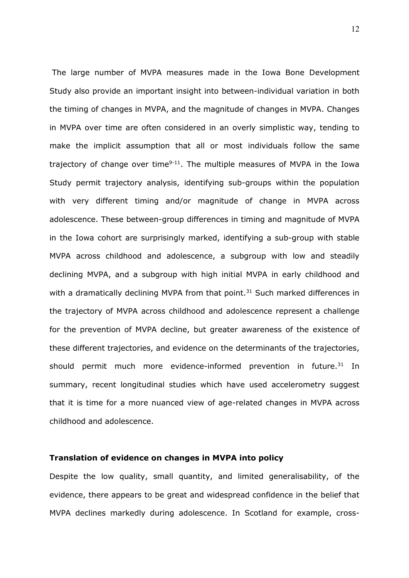The large number of MVPA measures made in the Iowa Bone Development Study also provide an important insight into between-individual variation in both the timing of changes in MVPA, and the magnitude of changes in MVPA. Changes in MVPA over time are often considered in an overly simplistic way, tending to make the implicit assumption that all or most individuals follow the same trajectory of change over time $9-11$ . The multiple measures of MVPA in the Iowa Study permit trajectory analysis, identifying sub-groups within the population with very different timing and/or magnitude of change in MVPA across adolescence. These between-group differences in timing and magnitude of MVPA in the Iowa cohort are surprisingly marked, identifying a sub-group with stable MVPA across childhood and adolescence, a subgroup with low and steadily declining MVPA, and a subgroup with high initial MVPA in early childhood and with a dramatically declining MVPA from that point. $31$  Such marked differences in the trajectory of MVPA across childhood and adolescence represent a challenge for the prevention of MVPA decline, but greater awareness of the existence of these different trajectories, and evidence on the determinants of the trajectories, should permit much more evidence-informed prevention in future.<sup>31</sup> In summary, recent longitudinal studies which have used accelerometry suggest that it is time for a more nuanced view of age-related changes in MVPA across childhood and adolescence.

#### **Translation of evidence on changes in MVPA into policy**

Despite the low quality, small quantity, and limited generalisability, of the evidence, there appears to be great and widespread confidence in the belief that MVPA declines markedly during adolescence. In Scotland for example, cross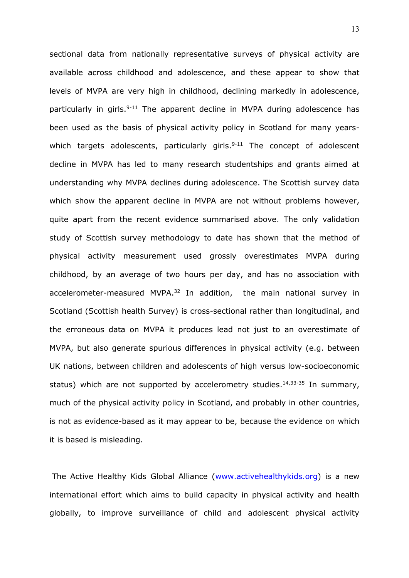sectional data from nationally representative surveys of physical activity are available across childhood and adolescence, and these appear to show that levels of MVPA are very high in childhood, declining markedly in adolescence, particularly in girls.<sup>9-11</sup> The apparent decline in MVPA during adolescence has been used as the basis of physical activity policy in Scotland for many yearswhich targets adolescents, particularly girls. $9-11$  The concept of adolescent decline in MVPA has led to many research studentships and grants aimed at understanding why MVPA declines during adolescence. The Scottish survey data which show the apparent decline in MVPA are not without problems however, quite apart from the recent evidence summarised above. The only validation study of Scottish survey methodology to date has shown that the method of physical activity measurement used grossly overestimates MVPA during childhood, by an average of two hours per day, and has no association with accelerometer-measured MVPA.<sup>32</sup> In addition, the main national survey in Scotland (Scottish health Survey) is cross-sectional rather than longitudinal, and the erroneous data on MVPA it produces lead not just to an overestimate of MVPA, but also generate spurious differences in physical activity (e.g. between UK nations, between children and adolescents of high versus low-socioeconomic status) which are not supported by accelerometry studies.<sup>14,33-35</sup> In summary, much of the physical activity policy in Scotland, and probably in other countries, is not as evidence-based as it may appear to be, because the evidence on which it is based is misleading.

The Active Healthy Kids Global Alliance [\(www.activehealthykids.org\)](http://www.activehealthykids.org/) is a new international effort which aims to build capacity in physical activity and health globally, to improve surveillance of child and adolescent physical activity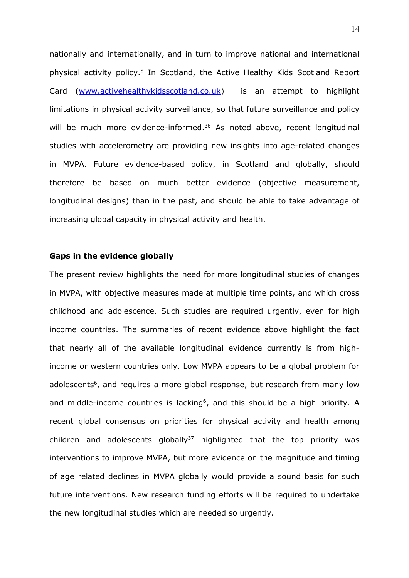nationally and internationally, and in turn to improve national and international physical activity policy.<sup>8</sup> In Scotland, the Active Healthy Kids Scotland Report Card [\(www.activehealthykidsscotland.co.uk\)](http://www.activehealthykidsscotland.co.uk/) is an attempt to highlight limitations in physical activity surveillance, so that future surveillance and policy will be much more evidence-informed.<sup>36</sup> As noted above, recent longitudinal studies with accelerometry are providing new insights into age-related changes in MVPA. Future evidence-based policy, in Scotland and globally, should therefore be based on much better evidence (objective measurement, longitudinal designs) than in the past, and should be able to take advantage of increasing global capacity in physical activity and health.

### **Gaps in the evidence globally**

The present review highlights the need for more longitudinal studies of changes in MVPA, with objective measures made at multiple time points, and which cross childhood and adolescence. Such studies are required urgently, even for high income countries. The summaries of recent evidence above highlight the fact that nearly all of the available longitudinal evidence currently is from highincome or western countries only. Low MVPA appears to be a global problem for adolescents<sup>6</sup>, and requires a more global response, but research from many low and middle-income countries is lacking<sup>6</sup>, and this should be a high priority. A recent global consensus on priorities for physical activity and health among children and adolescents globally $37$  highlighted that the top priority was interventions to improve MVPA, but more evidence on the magnitude and timing of age related declines in MVPA globally would provide a sound basis for such future interventions. New research funding efforts will be required to undertake the new longitudinal studies which are needed so urgently.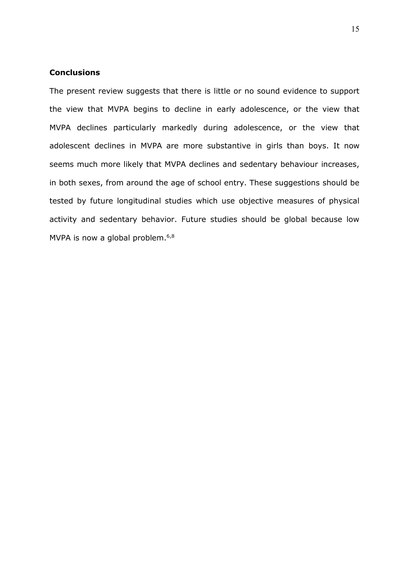# **Conclusions**

The present review suggests that there is little or no sound evidence to support the view that MVPA begins to decline in early adolescence, or the view that MVPA declines particularly markedly during adolescence, or the view that adolescent declines in MVPA are more substantive in girls than boys. It now seems much more likely that MVPA declines and sedentary behaviour increases, in both sexes, from around the age of school entry. These suggestions should be tested by future longitudinal studies which use objective measures of physical activity and sedentary behavior. Future studies should be global because low MVPA is now a global problem.<sup>6,8</sup>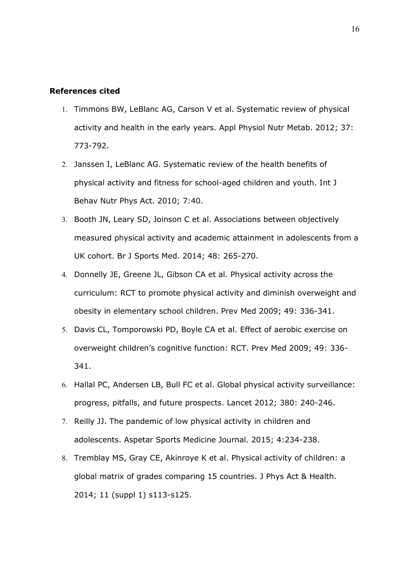### **References cited**

- 1. Timmons BW, LeBlanc AG, Carson V et al. Systematic review of physical activity and health in the early years. Appl Physiol Nutr Metab. 2012; 37: 773-792.
- 2. Janssen I, LeBlanc AG. Systematic review of the health benefits of physical activity and fitness for school-aged children and youth. Int J Behav Nutr Phys Act. 2010; 7:40.
- 3. Booth JN, Leary SD, Joinson C et al. Associations between objectively measured physical activity and academic attainment in adolescents from a UK cohort. Br J Sports Med. 2014; 48: 265-270.
- 4. Donnelly JE, Greene JL, Gibson CA et al. Physical activity across the curriculum: RCT to promote physical activity and diminish overweight and obesity in elementary school children. Prev Med 2009; 49: 336-341.
- 5. Davis CL, Tomporowski PD, Boyle CA et al. Effect of aerobic exercise on overweight children's cognitive function: RCT. Prev Med 2009; 49: 336- 341.
- 6. Hallal PC, Andersen LB, Bull FC et al. Global physical activity surveillance: progress, pitfalls, and future prospects. Lancet 2012; 380: 240-246.
- 7. Reilly JJ. The pandemic of low physical activity in children and adolescents. Aspetar Sports Medicine Journal. 2015; 4:234-238.
- 8. Tremblay MS, Gray CE, Akinroye K et al. Physical activity of children: a global matrix of grades comparing 15 countries. J Phys Act & Health. 2014; 11 (suppl 1) s113-s125.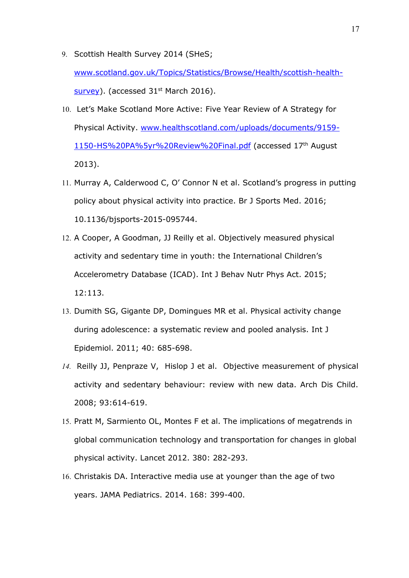9. Scottish Health Survey 2014 (SHeS;

[www.scotland.gov.uk/Topics/Statistics/Browse/Health/scottish-health](http://www.scotland.gov.uk/Topics/Statistics/Browse/Health/scottish-health-survey) $s$ urvey). (accessed 31<sup>st</sup> March 2016).

- 10. Let's Make Scotland More Active: Five Year Review of A Strategy for Physical Activity. [www.healthscotland.com/uploads/documents/9159-](http://www.healthscotland.com/uploads/documents/9159-1150-HS%20PA%255yr%20Review%20Final.pdf) [1150-HS%20PA%5yr%20Review%20Final.pdf](http://www.healthscotland.com/uploads/documents/9159-1150-HS%20PA%255yr%20Review%20Final.pdf) (accessed 17th August 2013).
- 11. Murray A, Calderwood C, O' Connor N et al. Scotland's progress in putting policy about physical activity into practice. Br J Sports Med. 2016; 10.1136/bjsports-2015-095744.
- 12. A Cooper, A Goodman, JJ Reilly et al. Objectively measured physical activity and sedentary time in youth: the International Children's Accelerometry Database (ICAD). Int J Behav Nutr Phys Act. 2015; 12:113.
- 13. Dumith SG, Gigante DP, Domingues MR et al. Physical activity change during adolescence: a systematic review and pooled analysis. Int J Epidemiol. 2011; 40: 685-698.
- *14.* Reilly JJ, Penpraze V, Hislop J et al. Objective measurement of physical activity and sedentary behaviour: review with new data. Arch Dis Child. 2008; 93:614-619.
- 15. Pratt M, Sarmiento OL, Montes F et al. The implications of megatrends in global communication technology and transportation for changes in global physical activity. Lancet 2012. 380: 282-293.
- 16. Christakis DA. Interactive media use at younger than the age of two years. JAMA Pediatrics. 2014. 168: 399-400.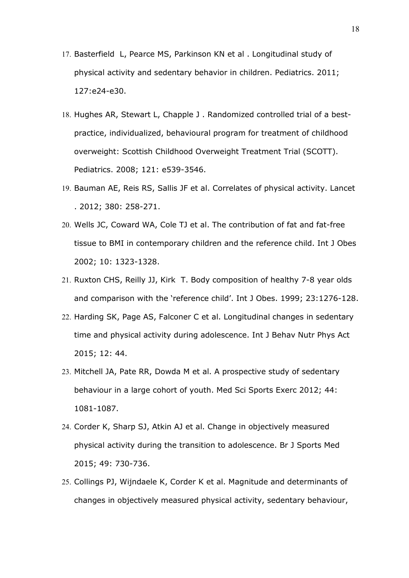- 17. Basterfield L, Pearce MS, Parkinson KN et al . Longitudinal study of physical activity and sedentary behavior in children. Pediatrics. 2011; 127:e24-e30.
- 18. Hughes AR, Stewart L, Chapple J . Randomized controlled trial of a bestpractice, individualized, behavioural program for treatment of childhood overweight: Scottish Childhood Overweight Treatment Trial (SCOTT). Pediatrics. 2008; 121: e539-3546.
- 19. Bauman AE, Reis RS, Sallis JF et al. Correlates of physical activity. Lancet . 2012; 380: 258-271.
- 20. Wells JC, Coward WA, Cole TJ et al. The contribution of fat and fat-free tissue to BMI in contemporary children and the reference child. Int J Obes 2002; 10: 1323-1328.
- 21. Ruxton CHS, Reilly JJ, Kirk T. Body composition of healthy 7-8 year olds and comparison with the 'reference child'. Int J Obes. 1999; 23:1276-128.
- 22. Harding SK, Page AS, Falconer C et al. Longitudinal changes in sedentary time and physical activity during adolescence. Int J Behav Nutr Phys Act 2015; 12: 44.
- 23. Mitchell JA, Pate RR, Dowda M et al. A prospective study of sedentary behaviour in a large cohort of youth. Med Sci Sports Exerc 2012; 44: 1081-1087.
- 24. Corder K, Sharp SJ, Atkin AJ et al. Change in objectively measured physical activity during the transition to adolescence. Br J Sports Med 2015; 49: 730-736.
- 25. Collings PJ, Wijndaele K, Corder K et al. Magnitude and determinants of changes in objectively measured physical activity, sedentary behaviour,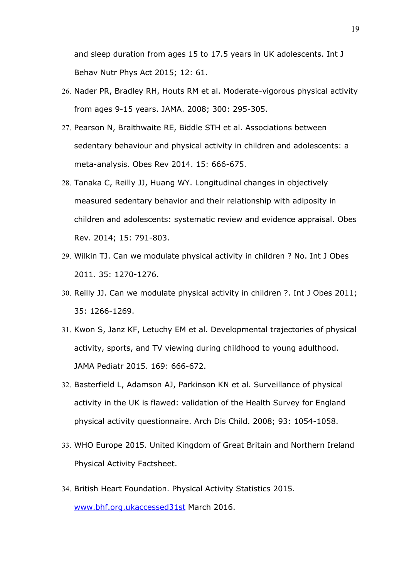and sleep duration from ages 15 to 17.5 years in UK adolescents. Int J Behav Nutr Phys Act 2015; 12: 61.

- 26. Nader PR, Bradley RH, Houts RM et al. Moderate-vigorous physical activity from ages 9-15 years. JAMA. 2008; 300: 295-305.
- 27. Pearson N, Braithwaite RE, Biddle STH et al. Associations between sedentary behaviour and physical activity in children and adolescents: a meta-analysis. Obes Rev 2014. 15: 666-675.
- 28. Tanaka C, Reilly JJ, Huang WY. Longitudinal changes in objectively measured sedentary behavior and their relationship with adiposity in children and adolescents: systematic review and evidence appraisal. Obes Rev. 2014; 15: 791-803.
- 29. Wilkin TJ. Can we modulate physical activity in children ? No. Int J Obes 2011. 35: 1270-1276.
- 30. Reilly JJ. Can we modulate physical activity in children ?. Int J Obes 2011; 35: 1266-1269.
- 31. Kwon S, Janz KF, Letuchy EM et al. Developmental trajectories of physical activity, sports, and TV viewing during childhood to young adulthood. JAMA Pediatr 2015. 169: 666-672.
- 32. Basterfield L, Adamson AJ, Parkinson KN et al. Surveillance of physical activity in the UK is flawed: validation of the Health Survey for England physical activity questionnaire. Arch Dis Child. 2008; 93: 1054-1058.
- 33. WHO Europe 2015. United Kingdom of Great Britain and Northern Ireland Physical Activity Factsheet.
- 34. British Heart Foundation. Physical Activity Statistics 2015. [www.bhf.org.ukaccessed31st](http://www.bhf.org.ukaccessed31st/) March 2016.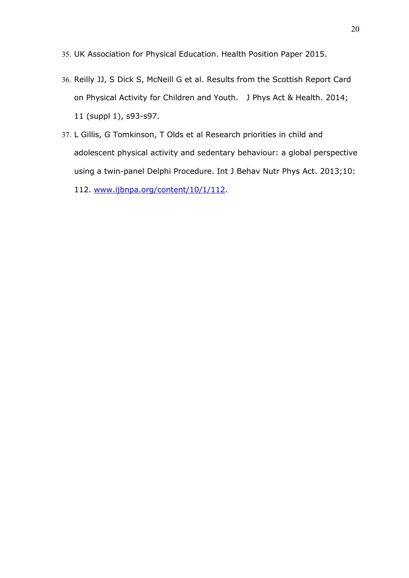35. UK Association for Physical Education. Health Position Paper 2015.

- 36. Reilly JJ, S Dick S, McNeill G et al. Results from the Scottish Report Card on Physical Activity for Children and Youth. J Phys Act & Health. 2014; 11 (suppl 1), s93-s97.
- 37. L Gillis, G Tomkinson, T Olds et al Research priorities in child and adolescent physical activity and sedentary behaviour: a global perspective using a twin-panel Delphi Procedure. Int J Behav Nutr Phys Act. 2013;10:
	- 112. [www.ijbnpa.org/content/10/1/112.](http://www.ijbnpa.org/content/10/1/112)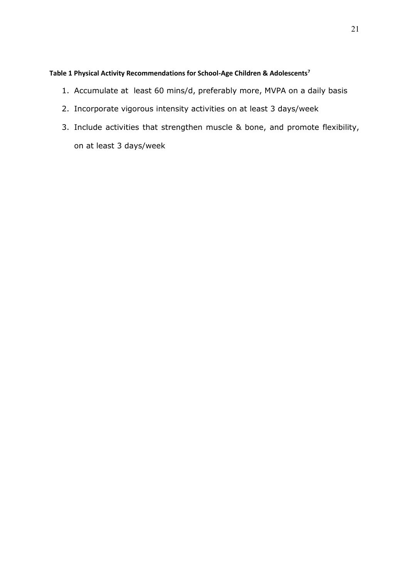# **Table 1 Physical Activity Recommendations for School-Age Children & Adolescents<sup>7</sup>**

- 1. Accumulate at least 60 mins/d, preferably more, MVPA on a daily basis
- 2. Incorporate vigorous intensity activities on at least 3 days/week
- 3. Include activities that strengthen muscle & bone, and promote flexibility, on at least 3 days/week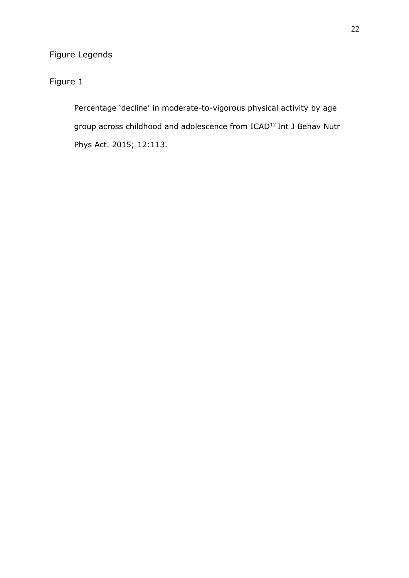# Figure Legends

Figure 1

Percentage 'decline' in moderate-to-vigorous physical activity by age group across childhood and adolescence from ICAD<sup>12</sup> Int J Behav Nutr Phys Act. 2015; 12:113.